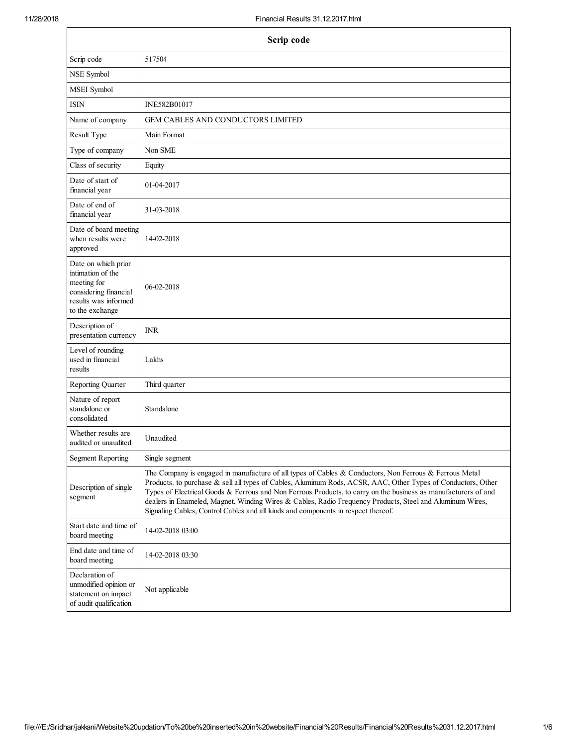| Scrip code                                                                                                                  |                                                                                                                                                                                                                                                                                                                                                                                                                                                                                                                                           |  |
|-----------------------------------------------------------------------------------------------------------------------------|-------------------------------------------------------------------------------------------------------------------------------------------------------------------------------------------------------------------------------------------------------------------------------------------------------------------------------------------------------------------------------------------------------------------------------------------------------------------------------------------------------------------------------------------|--|
| Scrip code                                                                                                                  | 517504                                                                                                                                                                                                                                                                                                                                                                                                                                                                                                                                    |  |
| NSE Symbol                                                                                                                  |                                                                                                                                                                                                                                                                                                                                                                                                                                                                                                                                           |  |
| MSEI Symbol                                                                                                                 |                                                                                                                                                                                                                                                                                                                                                                                                                                                                                                                                           |  |
| ISIN                                                                                                                        | INE582B01017                                                                                                                                                                                                                                                                                                                                                                                                                                                                                                                              |  |
| Name of company                                                                                                             | <b>GEM CABLES AND CONDUCTORS LIMITED</b>                                                                                                                                                                                                                                                                                                                                                                                                                                                                                                  |  |
| Result Type                                                                                                                 | Main Format                                                                                                                                                                                                                                                                                                                                                                                                                                                                                                                               |  |
| Type of company                                                                                                             | Non SME                                                                                                                                                                                                                                                                                                                                                                                                                                                                                                                                   |  |
| Class of security                                                                                                           | Equity                                                                                                                                                                                                                                                                                                                                                                                                                                                                                                                                    |  |
| Date of start of<br>financial year                                                                                          | 01-04-2017                                                                                                                                                                                                                                                                                                                                                                                                                                                                                                                                |  |
| Date of end of<br>financial year                                                                                            | 31-03-2018                                                                                                                                                                                                                                                                                                                                                                                                                                                                                                                                |  |
| Date of board meeting<br>when results were<br>approved                                                                      | 14-02-2018                                                                                                                                                                                                                                                                                                                                                                                                                                                                                                                                |  |
| Date on which prior<br>intimation of the<br>meeting for<br>considering financial<br>results was informed<br>to the exchange | 06-02-2018                                                                                                                                                                                                                                                                                                                                                                                                                                                                                                                                |  |
| Description of<br>presentation currency                                                                                     | <b>INR</b>                                                                                                                                                                                                                                                                                                                                                                                                                                                                                                                                |  |
| Level of rounding<br>used in financial<br>results                                                                           | Lakhs                                                                                                                                                                                                                                                                                                                                                                                                                                                                                                                                     |  |
| Reporting Quarter                                                                                                           | Third quarter                                                                                                                                                                                                                                                                                                                                                                                                                                                                                                                             |  |
| Nature of report<br>standalone or<br>consolidated                                                                           | Standalone                                                                                                                                                                                                                                                                                                                                                                                                                                                                                                                                |  |
| Whether results are.<br>audited or unaudited                                                                                | Unaudited                                                                                                                                                                                                                                                                                                                                                                                                                                                                                                                                 |  |
| <b>Segment Reporting</b>                                                                                                    | Single segment                                                                                                                                                                                                                                                                                                                                                                                                                                                                                                                            |  |
| Description of single<br>segment                                                                                            | The Company is engaged in manufacture of all types of Cables & Conductors, Non Ferrous & Ferrous Metal<br>Products. to purchase & sell all types of Cables, Aluminum Rods, ACSR, AAC, Other Types of Conductors, Other<br>Types of Electrical Goods & Ferrous and Non Ferrous Products, to carry on the business as manufacturers of and<br>dealers in Enameled, Magnet, Winding Wires & Cables, Radio Frequency Products, Steel and Aluminum Wires,<br>Signaling Cables, Control Cables and all kinds and components in respect thereof. |  |
| Start date and time of<br>board meeting                                                                                     | 14-02-2018 03:00                                                                                                                                                                                                                                                                                                                                                                                                                                                                                                                          |  |
| End date and time of<br>board meeting                                                                                       | 14-02-2018 03:30                                                                                                                                                                                                                                                                                                                                                                                                                                                                                                                          |  |
| Declaration of<br>unmodified opinion or<br>statement on impact<br>of audit qualification                                    | Not applicable                                                                                                                                                                                                                                                                                                                                                                                                                                                                                                                            |  |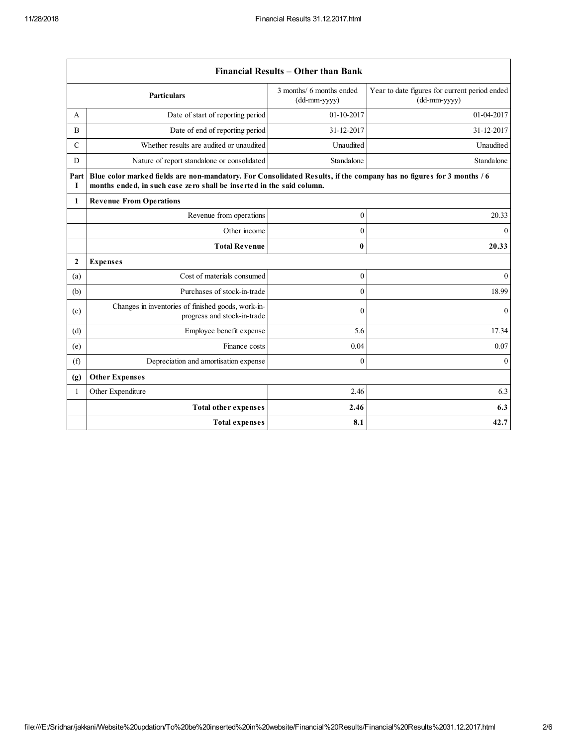$\mathsf{r}$ 

|                  | Financial Results - Other than Bank                                                                                                                                                           |                                            |                                                               |  |
|------------------|-----------------------------------------------------------------------------------------------------------------------------------------------------------------------------------------------|--------------------------------------------|---------------------------------------------------------------|--|
|                  | <b>Particulars</b>                                                                                                                                                                            | 3 months/ 6 months ended<br>$(dd-mm-yyyy)$ | Year to date figures for current period ended<br>(dd-mm-yyyy) |  |
| A                | Date of start of reporting period                                                                                                                                                             | 01-10-2017                                 | 01-04-2017                                                    |  |
| B                | Date of end of reporting period                                                                                                                                                               | 31-12-2017                                 | 31-12-2017                                                    |  |
| $\mathcal{C}$    | Whether results are audited or unaudited                                                                                                                                                      | Unaudited                                  | Unaudited                                                     |  |
| D                | Nature of report standalone or consolidated                                                                                                                                                   | Standalone                                 | Standalone                                                    |  |
| Part<br>1        | Blue color marked fields are non-mandatory. For Consolidated Results, if the company has no figures for 3 months / 6<br>months ended, in such case zero shall be inserted in the said column. |                                            |                                                               |  |
| 1                | <b>Revenue From Operations</b>                                                                                                                                                                |                                            |                                                               |  |
|                  | Revenue from operations                                                                                                                                                                       | $\mathbf{0}$                               | 20.33                                                         |  |
|                  | Other income                                                                                                                                                                                  | $\mathbf{0}$                               | $\theta$                                                      |  |
|                  | <b>Total Revenue</b>                                                                                                                                                                          | $\bf{0}$                                   | 20.33                                                         |  |
| $\boldsymbol{2}$ | <b>Expenses</b>                                                                                                                                                                               |                                            |                                                               |  |
| (a)              | Cost of materials consumed                                                                                                                                                                    | $\mathbf{0}$                               | $\theta$                                                      |  |
| (b)              | Purchases of stock-in-trade                                                                                                                                                                   | $\theta$                                   | 18.99                                                         |  |
| (c)              | Changes in inventories of finished goods, work-in-<br>progress and stock-in-trade                                                                                                             | $\mathbf{0}$                               | $\mathbf{0}$                                                  |  |
| (d)              | Employee benefit expense                                                                                                                                                                      | 5.6                                        | 17.34                                                         |  |
| (e)              | Finance costs                                                                                                                                                                                 | 0.04                                       | 0.07                                                          |  |
| (f)              | Depreciation and amortisation expense                                                                                                                                                         | $\mathbf{0}$                               | $\theta$                                                      |  |
| (g)              | <b>Other Expenses</b>                                                                                                                                                                         |                                            |                                                               |  |
| 1                | Other Expenditure                                                                                                                                                                             | 2.46                                       | 6.3                                                           |  |
|                  | <b>Total other expenses</b>                                                                                                                                                                   | 2.46                                       | 6.3                                                           |  |
|                  | <b>Total expenses</b>                                                                                                                                                                         | 8.1                                        | 42.7                                                          |  |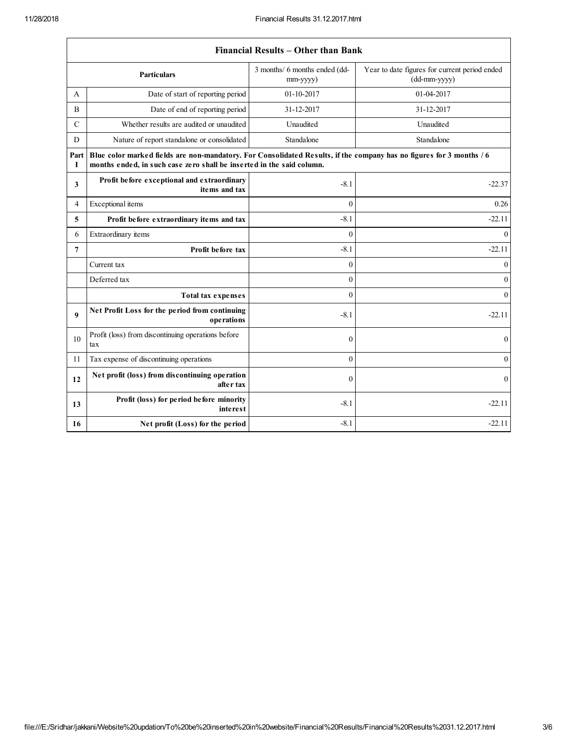|                | <b>Financial Results – Other than Bank</b>                                                                                                                                                    |                                                 |                                                               |  |  |
|----------------|-----------------------------------------------------------------------------------------------------------------------------------------------------------------------------------------------|-------------------------------------------------|---------------------------------------------------------------|--|--|
|                | <b>Particulars</b>                                                                                                                                                                            | 3 months/ 6 months ended (dd-<br>$mm$ -yyyy $)$ | Year to date figures for current period ended<br>(dd-mm-yyyy) |  |  |
| A              | Date of start of reporting period                                                                                                                                                             | 01-10-2017                                      | 01-04-2017                                                    |  |  |
| B              | Date of end of reporting period                                                                                                                                                               | 31-12-2017                                      | 31-12-2017                                                    |  |  |
| $\mathcal{C}$  | Whether results are audited or unaudited                                                                                                                                                      | Unaudited                                       | Unaudited                                                     |  |  |
| D              | Nature of report standalone or consolidated                                                                                                                                                   | Standalone                                      | Standalone                                                    |  |  |
| Part<br>1      | Blue color marked fields are non-mandatory. For Consolidated Results, if the company has no figures for 3 months / 6<br>months ended, in such case zero shall be inserted in the said column. |                                                 |                                                               |  |  |
| 3              | Profit before exceptional and extraordinary<br>items and tax                                                                                                                                  | $-8.1$                                          | $-22.37$                                                      |  |  |
| 4              | Exceptional items                                                                                                                                                                             | $\theta$                                        | 0.26                                                          |  |  |
| 5              | Profit before extraordinary items and tax                                                                                                                                                     | $-8.1$                                          | $-22.11$                                                      |  |  |
| 6              | Extraordinary items                                                                                                                                                                           | $\mathbf{0}$                                    | $\overline{0}$                                                |  |  |
| $\overline{7}$ | Profit before tax                                                                                                                                                                             | $-8.1$                                          | $-22.11$                                                      |  |  |
|                | Current tax                                                                                                                                                                                   | $\mathbf{0}$                                    | $\mathbf{0}$                                                  |  |  |
|                | Deferred tax                                                                                                                                                                                  | $\theta$                                        | $\mathbf{0}$                                                  |  |  |
|                | <b>Total tax expenses</b>                                                                                                                                                                     | $\theta$                                        | $\mathbf{0}$                                                  |  |  |
| 9              | Net Profit Loss for the period from continuing<br>operations                                                                                                                                  | $-8.1$                                          | $-22.11$                                                      |  |  |
| 10             | Profit (loss) from discontinuing operations before<br>tax                                                                                                                                     | $\mathbf{0}$                                    | $\mathbf{0}$                                                  |  |  |
| 11             | Tax expense of discontinuing operations                                                                                                                                                       | $\mathbf{0}$                                    | $\mathbf{0}$                                                  |  |  |
| 12             | Net profit (loss) from discontinuing operation<br>after tax                                                                                                                                   | $\theta$                                        | $\mathbf{0}$                                                  |  |  |
| 13             | Profit (loss) for period before minority<br><i>interest</i>                                                                                                                                   | $-8.1$                                          | $-22.11$                                                      |  |  |
| 16             | Net profit (Loss) for the period                                                                                                                                                              | $-8.1$                                          | $-22.11$                                                      |  |  |

## Financial Results – Other than Bank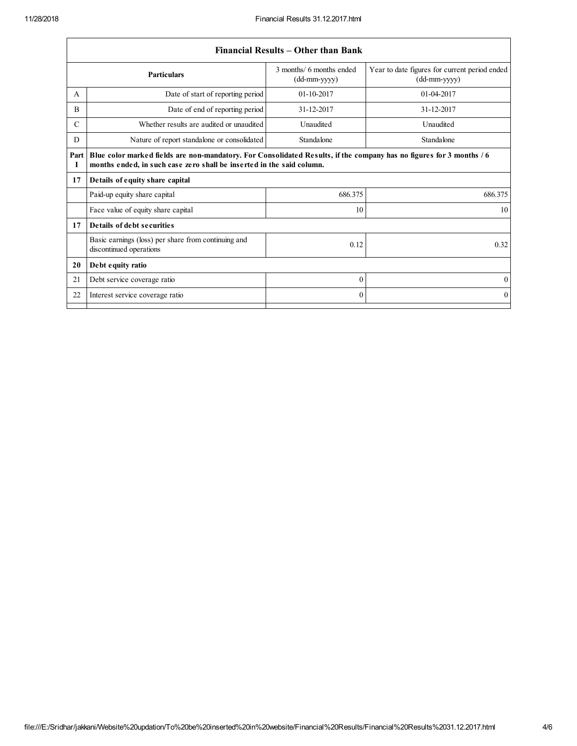$\sqrt{ }$ 

|               |                                                                                                                                                                                               | Financial Results – Other than Bank        |                                                                 |  |
|---------------|-----------------------------------------------------------------------------------------------------------------------------------------------------------------------------------------------|--------------------------------------------|-----------------------------------------------------------------|--|
|               | <b>Particulars</b>                                                                                                                                                                            | 3 months/ 6 months ended<br>$(dd-mm-yyyy)$ | Year to date figures for current period ended<br>$(dd-mm-yyyy)$ |  |
| A             | Date of start of reporting period                                                                                                                                                             | $01 - 10 - 2017$                           | 01-04-2017                                                      |  |
| B             | Date of end of reporting period                                                                                                                                                               | 31-12-2017                                 | 31-12-2017                                                      |  |
| $\mathcal{C}$ | Whether results are audited or unaudited                                                                                                                                                      | Unaudited                                  | Unaudited                                                       |  |
| D             | Nature of report standalone or consolidated                                                                                                                                                   | Standalone                                 | Standalone                                                      |  |
| Part<br>Т     | Blue color marked fields are non-mandatory. For Consolidated Results, if the company has no figures for 3 months / 6<br>months ended, in such case zero shall be inserted in the said column. |                                            |                                                                 |  |
| 17            | Details of equity share capital                                                                                                                                                               |                                            |                                                                 |  |
|               | Paid-up equity share capital                                                                                                                                                                  | 686.375                                    | 686.375                                                         |  |
|               | Face value of equity share capital                                                                                                                                                            | 10                                         | 10                                                              |  |
| 17            | Details of debt securities                                                                                                                                                                    |                                            |                                                                 |  |
|               | Basic earnings (loss) per share from continuing and<br>discontinued operations                                                                                                                | 0.12                                       | 0.32                                                            |  |
| 20            | Debt equity ratio                                                                                                                                                                             |                                            |                                                                 |  |
| 21            | Debt service coverage ratio                                                                                                                                                                   | $\Omega$                                   | $\theta$                                                        |  |
| 22            | Interest service coverage ratio                                                                                                                                                               | $\Omega$                                   | $\mathbf{0}$                                                    |  |
|               |                                                                                                                                                                                               |                                            |                                                                 |  |

## Financial Results – Other than Bank